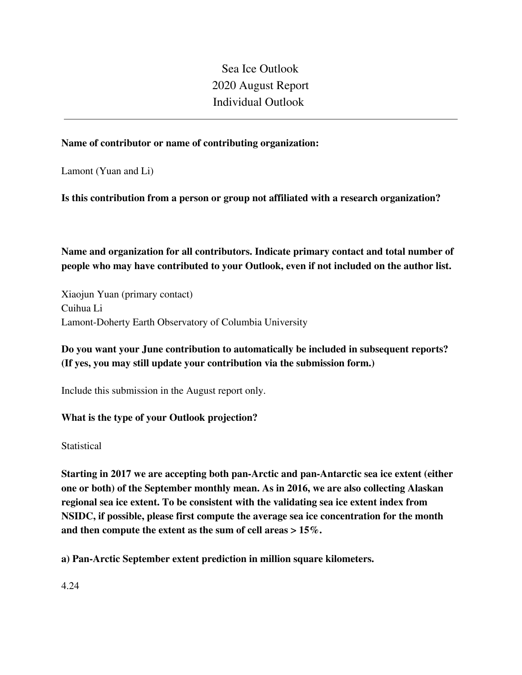Sea Ice Outlook 2020 August Report Individual Outlook

### **Name of contributor or name of contributing organization:**

Lamont (Yuan and Li)

**Is this contribution from a person or group not affiliated with a research organization?** 

**Name and organization for all contributors. Indicate primary contact and total number of people who may have contributed to your Outlook, even if not included on the author list.**

Xiaojun Yuan (primary contact) Cuihua Li Lamont-Doherty Earth Observatory of Columbia University

**Do you want your June contribution to automatically be included in subsequent reports? (If yes, you may still update your contribution via the submission form.)**

Include this submission in the August report only.

### **What is the type of your Outlook projection?**

**Statistical** 

**Starting in 2017 we are accepting both pan-Arctic and pan-Antarctic sea ice extent (either one or both) of the September monthly mean. As in 2016, we are also collecting Alaskan regional sea ice extent. To be consistent with the validating sea ice extent index from NSIDC, if possible, please first compute the average sea ice concentration for the month and then compute the extent as the sum of cell areas > 15%.**

**a) Pan-Arctic September extent prediction in million square kilometers.**

4.24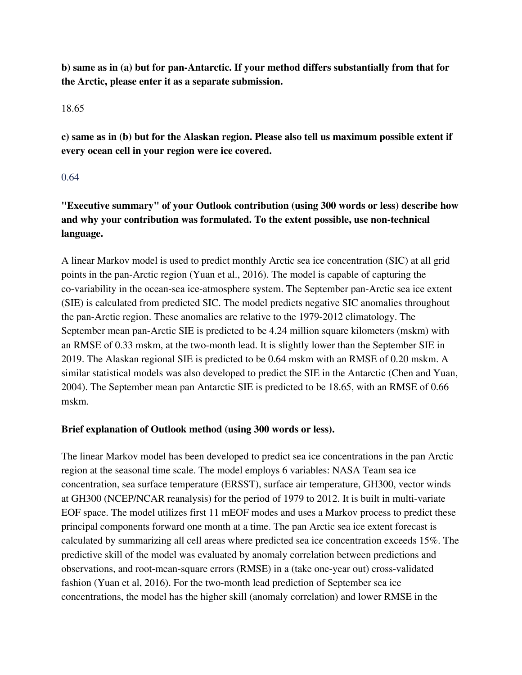**b) same as in (a) but for pan-Antarctic. If your method differs substantially from that for the Arctic, please enter it as a separate submission.**

#### 18.65

**c) same as in (b) but for the Alaskan region. Please also tell us maximum possible extent if every ocean cell in your region were ice covered.**

### 0.64

**"Executive summary" of your Outlook contribution (using 300 words or less) describe how and why your contribution was formulated. To the extent possible, use non-technical language.**

A linear Markov model is used to predict monthly Arctic sea ice concentration (SIC) at all grid points in the pan-Arctic region (Yuan et al., 2016). The model is capable of capturing the co-variability in the ocean-sea ice-atmosphere system. The September pan-Arctic sea ice extent (SIE) is calculated from predicted SIC. The model predicts negative SIC anomalies throughout the pan-Arctic region. These anomalies are relative to the 1979-2012 climatology. The September mean pan-Arctic SIE is predicted to be 4.24 million square kilometers (mskm) with an RMSE of 0.33 mskm, at the two-month lead. It is slightly lower than the September SIE in 2019. The Alaskan regional SIE is predicted to be 0.64 mskm with an RMSE of 0.20 mskm. A similar statistical models was also developed to predict the SIE in the Antarctic (Chen and Yuan, 2004). The September mean pan Antarctic SIE is predicted to be 18.65, with an RMSE of 0.66 mskm.

## **Brief explanation of Outlook method (using 300 words or less).**

The linear Markov model has been developed to predict sea ice concentrations in the pan Arctic region at the seasonal time scale. The model employs 6 variables: NASA Team sea ice concentration, sea surface temperature (ERSST), surface air temperature, GH300, vector winds at GH300 (NCEP/NCAR reanalysis) for the period of 1979 to 2012. It is built in multi-variate EOF space. The model utilizes first 11 mEOF modes and uses a Markov process to predict these principal components forward one month at a time. The pan Arctic sea ice extent forecast is calculated by summarizing all cell areas where predicted sea ice concentration exceeds 15%. The predictive skill of the model was evaluated by anomaly correlation between predictions and observations, and root-mean-square errors (RMSE) in a (take one-year out) cross-validated fashion (Yuan et al, 2016). For the two-month lead prediction of September sea ice concentrations, the model has the higher skill (anomaly correlation) and lower RMSE in the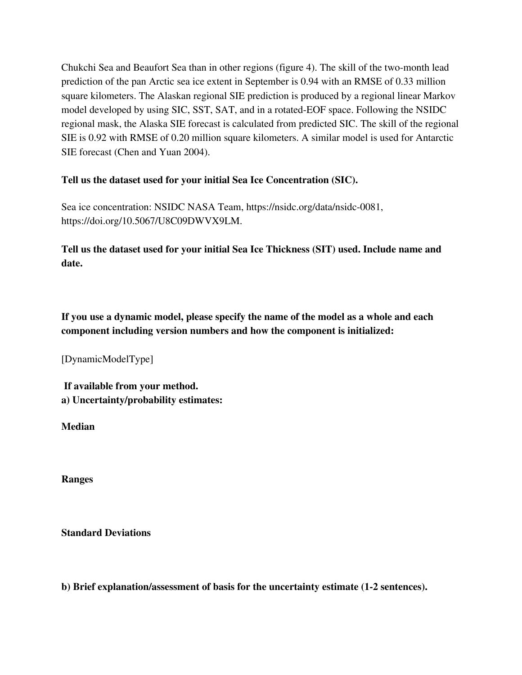Chukchi Sea and Beaufort Sea than in other regions (figure 4). The skill of the two-month lead prediction of the pan Arctic sea ice extent in September is 0.94 with an RMSE of 0.33 million square kilometers. The Alaskan regional SIE prediction is produced by a regional linear Markov model developed by using SIC, SST, SAT, and in a rotated-EOF space. Following the NSIDC regional mask, the Alaska SIE forecast is calculated from predicted SIC. The skill of the regional SIE is 0.92 with RMSE of 0.20 million square kilometers. A similar model is used for Antarctic SIE forecast (Chen and Yuan 2004).

## **Tell us the dataset used for your initial Sea Ice Concentration (SIC).**

Sea ice concentration: NSIDC NASA Team, https://nsidc.org/data/nsidc-0081, https://doi.org/10.5067/U8C09DWVX9LM.

**Tell us the dataset used for your initial Sea Ice Thickness (SIT) used. Include name and date.**

**If you use a dynamic model, please specify the name of the model as a whole and each component including version numbers and how the component is initialized:**

[DynamicModelType]

**If available from your method. a) Uncertainty/probability estimates:**

**Median**

**Ranges**

**Standard Deviations**

**b) Brief explanation/assessment of basis for the uncertainty estimate (1-2 sentences).**